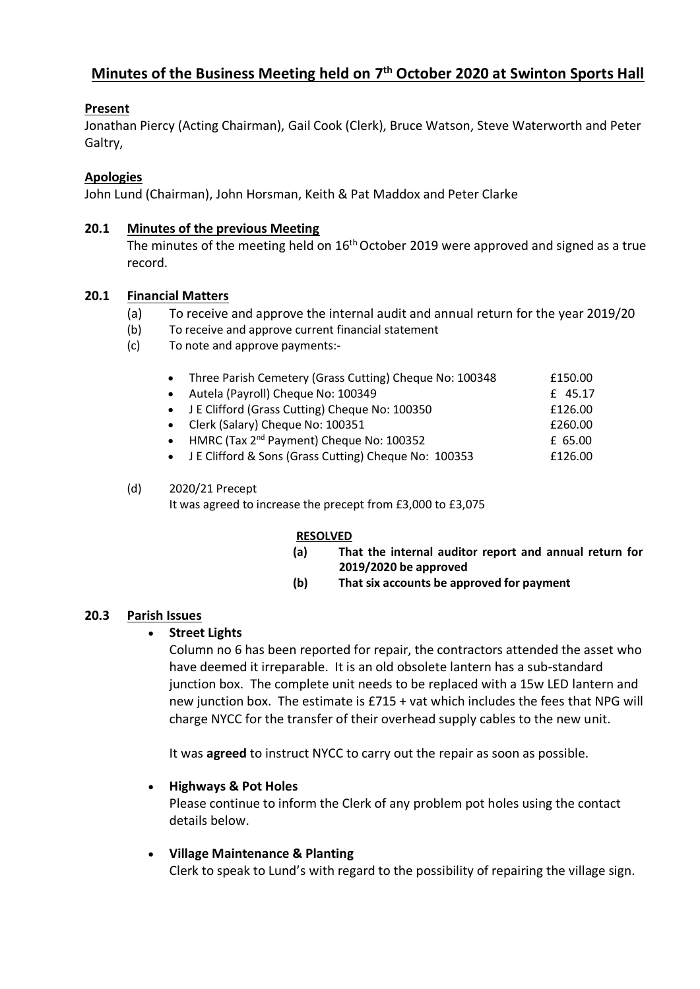# **Minutes of the Business Meeting held on 7 th October 2020 at Swinton Sports Hall**

# **Present**

Jonathan Piercy (Acting Chairman), Gail Cook (Clerk), Bruce Watson, Steve Waterworth and Peter Galtry,

# **Apologies**

John Lund (Chairman), John Horsman, Keith & Pat Maddox and Peter Clarke

### **20.1 Minutes of the previous Meeting**

The minutes of the meeting held on 16<sup>th</sup> October 2019 were approved and signed as a true record.

## **20.1 Financial Matters**

- (a) To receive and approve the internal audit and annual return for the year 2019/20
- (b) To receive and approve current financial statement
- (c) To note and approve payments:-

| Three Parish Cemetery (Grass Cutting) Cheque No: 100348 | £150.00 |
|---------------------------------------------------------|---------|
| Autela (Payroll) Cheque No: 100349                      | £ 45.17 |
| J E Clifford (Grass Cutting) Cheque No: 100350          | £126.00 |
| • Clerk (Salary) Cheque No: 100351                      | £260.00 |
| HMRC (Tax 2 <sup>nd</sup> Payment) Cheque No: 100352    | £ 65.00 |
| • J E Clifford & Sons (Grass Cutting) Cheque No: 100353 | £126.00 |
|                                                         |         |

#### (d) 2020/21 Precept It was agreed to increase the precept from £3,000 to £3,075

#### **RESOLVED**

- **(a) That the internal auditor report and annual return for 2019/2020 be approved**
- **(b) That six accounts be approved for payment**

#### **20.3 Parish Issues**

#### • **Street Lights**

Column no 6 has been reported for repair, the contractors attended the asset who have deemed it irreparable. It is an old obsolete lantern has a sub-standard junction box. The complete unit needs to be replaced with a 15w LED lantern and new junction box. The estimate is £715 + vat which includes the fees that NPG will charge NYCC for the transfer of their overhead supply cables to the new unit.

It was **agreed** to instruct NYCC to carry out the repair as soon as possible.

#### • **Highways & Pot Holes**

Please continue to inform the Clerk of any problem pot holes using the contact details below.

#### • **Village Maintenance & Planting**

Clerk to speak to Lund's with regard to the possibility of repairing the village sign.